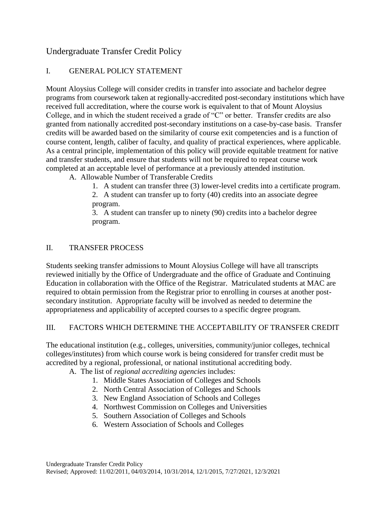# Undergraduate Transfer Credit Policy

## I. GENERAL POLICY STATEMENT

Mount Aloysius College will consider credits in transfer into associate and bachelor degree programs from coursework taken at regionally-accredited post-secondary institutions which have received full accreditation, where the course work is equivalent to that of Mount Aloysius College, and in which the student received a grade of "C" or better. Transfer credits are also granted from nationally accredited post-secondary institutions on a case-by-case basis. Transfer credits will be awarded based on the similarity of course exit competencies and is a function of course content, length, caliber of faculty, and quality of practical experiences, where applicable. As a central principle, implementation of this policy will provide equitable treatment for native and transfer students, and ensure that students will not be required to repeat course work completed at an acceptable level of performance at a previously attended institution.

A. Allowable Number of Transferable Credits

1. A student can transfer three (3) lower-level credits into a certificate program.

2. A student can transfer up to forty (40) credits into an associate degree program.

3. A student can transfer up to ninety (90) credits into a bachelor degree program.

## II. TRANSFER PROCESS

Students seeking transfer admissions to Mount Aloysius College will have all transcripts reviewed initially by the Office of Undergraduate and the office of Graduate and Continuing Education in collaboration with the Office of the Registrar. Matriculated students at MAC are required to obtain permission from the Registrar prior to enrolling in courses at another postsecondary institution. Appropriate faculty will be involved as needed to determine the appropriateness and applicability of accepted courses to a specific degree program.

## III. FACTORS WHICH DETERMINE THE ACCEPTABILITY OF TRANSFER CREDIT

The educational institution (e.g., colleges, universities, community/junior colleges, technical colleges/institutes) from which course work is being considered for transfer credit must be accredited by a regional, professional, or national institutional accrediting body.

A. The list of *regional accrediting agencies* includes:

- 1. Middle States Association of Colleges and Schools
- 2. North Central Association of Colleges and Schools
- 3. New England Association of Schools and Colleges
- 4. Northwest Commission on Colleges and Universities
- 5. Southern Association of Colleges and Schools
- 6. Western Association of Schools and Colleges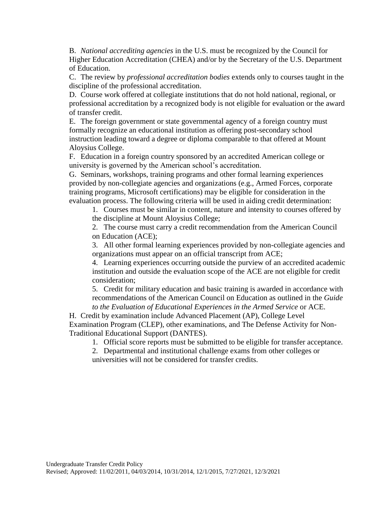B. *National accrediting agencies* in the U.S. must be recognized by the Council for Higher Education Accreditation (CHEA) and/or by the Secretary of the U.S. Department of Education.

C. The review by *professional accreditation bodies* extends only to courses taught in the discipline of the professional accreditation.

D. Course work offered at collegiate institutions that do not hold national, regional, or professional accreditation by a recognized body is not eligible for evaluation or the award of transfer credit.

E. The foreign government or state governmental agency of a foreign country must formally recognize an educational institution as offering post-secondary school instruction leading toward a degree or diploma comparable to that offered at Mount Aloysius College.

F. Education in a foreign country sponsored by an accredited American college or university is governed by the American school's accreditation.

G. Seminars, workshops, training programs and other formal learning experiences provided by non-collegiate agencies and organizations (e.g., Armed Forces, corporate training programs, Microsoft certifications) may be eligible for consideration in the evaluation process. The following criteria will be used in aiding credit determination:

1. Courses must be similar in content, nature and intensity to courses offered by the discipline at Mount Aloysius College;

2. The course must carry a credit recommendation from the American Council on Education (ACE);

3. All other formal learning experiences provided by non-collegiate agencies and organizations must appear on an official transcript from ACE;

4. Learning experiences occurring outside the purview of an accredited academic institution and outside the evaluation scope of the ACE are not eligible for credit consideration;

5. Credit for military education and basic training is awarded in accordance with recommendations of the American Council on Education as outlined in the *Guide to the Evaluation of Educational Experiences in the Armed Service* or ACE.

H. Credit by examination include Advanced Placement (AP), College Level Examination Program (CLEP), other examinations, and The Defense Activity for Non-Traditional Educational Support (DANTES).

1. Official score reports must be submitted to be eligible for transfer acceptance.

2. Departmental and institutional challenge exams from other colleges or universities will not be considered for transfer credits.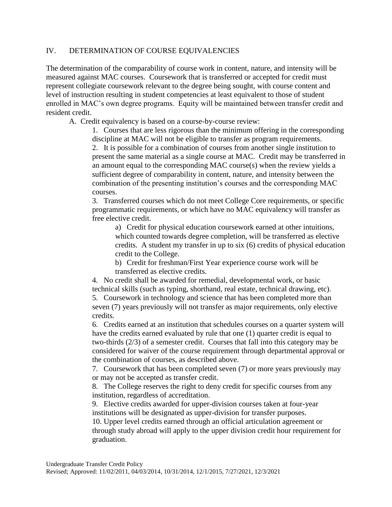#### IV. DETERMINATION OF COURSE EQUIVALENCIES

The determination of the comparability of course work in content, nature, and intensity will be measured against MAC courses. Coursework that is transferred or accepted for credit must represent collegiate coursework relevant to the degree being sought, with course content and level of instruction resulting in student competencies at least equivalent to those of student enrolled in MAC's own degree programs. Equity will be maintained between transfer credit and resident credit.

A. Credit equivalency is based on a course-by-course review:

1. Courses that are less rigorous than the minimum offering in the corresponding discipline at MAC will not be eligible to transfer as program requirements.

2. It is possible for a combination of courses from another single institution to present the same material as a single course at MAC. Credit may be transferred in an amount equal to the corresponding MAC course(s) when the review yields a sufficient degree of comparability in content, nature, and intensity between the combination of the presenting institution's courses and the corresponding MAC courses.

3. Transferred courses which do not meet College Core requirements, or specific programmatic requirements, or which have no MAC equivalency will transfer as free elective credit.

a) Credit for physical education coursework earned at other intuitions, which counted towards degree completion, will be transferred as elective credits. A student my transfer in up to six (6) credits of physical education credit to the College.

b) Credit for freshman/First Year experience course work will be transferred as elective credits.

4. No credit shall be awarded for remedial, developmental work, or basic technical skills (such as typing, shorthand, real estate, technical drawing, etc). 5. Coursework in technology and science that has been completed more than seven (7) years previously will not transfer as major requirements, only elective credits.

6. Credits earned at an institution that schedules courses on a quarter system will have the credits earned evaluated by rule that one (1) quarter credit is equal to two-thirds (2/3) of a semester credit. Courses that fall into this category may be considered for waiver of the course requirement through departmental approval or the combination of courses, as described above.

7. Coursework that has been completed seven (7) or more years previously may or may not be accepted as transfer credit.

8. The College reserves the right to deny credit for specific courses from any institution, regardless of accreditation.

9. Elective credits awarded for upper-division courses taken at four-year institutions will be designated as upper-division for transfer purposes.

10. Upper level credits earned through an official articulation agreement or through study abroad will apply to the upper division credit hour requirement for graduation.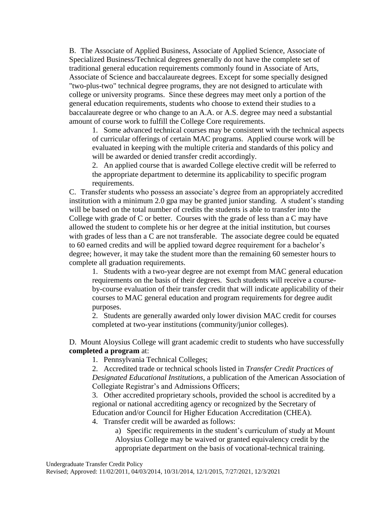B. The Associate of Applied Business, Associate of Applied Science, Associate of Specialized Business/Technical degrees generally do not have the complete set of traditional general education requirements commonly found in Associate of Arts, Associate of Science and baccalaureate degrees. Except for some specially designed "two-plus-two" technical degree programs, they are not designed to articulate with college or university programs. Since these degrees may meet only a portion of the general education requirements, students who choose to extend their studies to a baccalaureate degree or who change to an A.A. or A.S. degree may need a substantial amount of course work to fulfill the College Core requirements.

1. Some advanced technical courses may be consistent with the technical aspects of curricular offerings of certain MAC programs. Applied course work will be evaluated in keeping with the multiple criteria and standards of this policy and will be awarded or denied transfer credit accordingly.

2. An applied course that is awarded College elective credit will be referred to the appropriate department to determine its applicability to specific program requirements.

C. Transfer students who possess an associate's degree from an appropriately accredited institution with a minimum 2.0 gpa may be granted junior standing. A student's standing will be based on the total number of credits the students is able to transfer into the College with grade of C or better. Courses with the grade of less than a C may have allowed the student to complete his or her degree at the initial institution, but courses with grades of less than a C are not transferable. The associate degree could be equated to 60 earned credits and will be applied toward degree requirement for a bachelor's degree; however, it may take the student more than the remaining 60 semester hours to complete all graduation requirements.

1. Students with a two-year degree are not exempt from MAC general education requirements on the basis of their degrees. Such students will receive a courseby-course evaluation of their transfer credit that will indicate applicability of their courses to MAC general education and program requirements for degree audit purposes.

2. Students are generally awarded only lower division MAC credit for courses completed at two-year institutions (community/junior colleges).

D. Mount Aloysius College will grant academic credit to students who have successfully **completed a program** at:

1. Pennsylvania Technical Colleges;

2. Accredited trade or technical schools listed in *Transfer Credit Practices of Designated Educational Institutions*, a publication of the American Association of Collegiate Registrar's and Admissions Officers;

3. Other accredited proprietary schools, provided the school is accredited by a regional or national accrediting agency or recognized by the Secretary of Education and/or Council for Higher Education Accreditation (CHEA).

4. Transfer credit will be awarded as follows:

a) Specific requirements in the student's curriculum of study at Mount Aloysius College may be waived or granted equivalency credit by the appropriate department on the basis of vocational-technical training.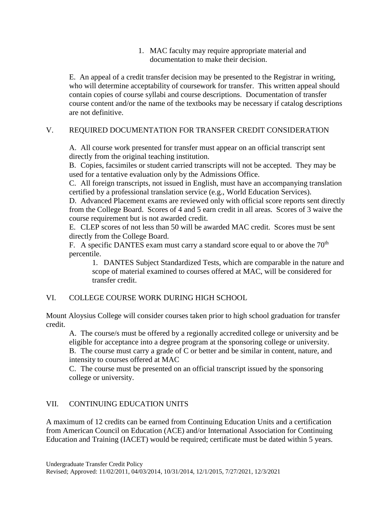1. MAC faculty may require appropriate material and documentation to make their decision.

E. An appeal of a credit transfer decision may be presented to the Registrar in writing, who will determine acceptability of coursework for transfer. This written appeal should contain copies of course syllabi and course descriptions. Documentation of transfer course content and/or the name of the textbooks may be necessary if catalog descriptions are not definitive.

## V. REQUIRED DOCUMENTATION FOR TRANSFER CREDIT CONSIDERATION

A. All course work presented for transfer must appear on an official transcript sent directly from the original teaching institution.

B. Copies, facsimiles or student carried transcripts will not be accepted. They may be used for a tentative evaluation only by the Admissions Office.

C. All foreign transcripts, not issued in English, must have an accompanying translation certified by a professional translation service (e.g., World Education Services).

D. Advanced Placement exams are reviewed only with official score reports sent directly from the College Board. Scores of 4 and 5 earn credit in all areas. Scores of 3 waive the course requirement but is not awarded credit.

E. CLEP scores of not less than 50 will be awarded MAC credit. Scores must be sent directly from the College Board.

F. A specific DANTES exam must carry a standard score equal to or above the  $70<sup>th</sup>$ percentile.

1. DANTES Subject Standardized Tests, which are comparable in the nature and scope of material examined to courses offered at MAC, will be considered for transfer credit.

## VI. COLLEGE COURSE WORK DURING HIGH SCHOOL

Mount Aloysius College will consider courses taken prior to high school graduation for transfer credit.

A. The course/s must be offered by a regionally accredited college or university and be eligible for acceptance into a degree program at the sponsoring college or university. B. The course must carry a grade of C or better and be similar in content, nature, and intensity to courses offered at MAC

C. The course must be presented on an official transcript issued by the sponsoring college or university.

#### VII. CONTINUING EDUCATION UNITS

A maximum of 12 credits can be earned from Continuing Education Units and a certification from American Council on Education (ACE) and/or International Association for Continuing Education and Training (IACET) would be required; certificate must be dated within 5 years.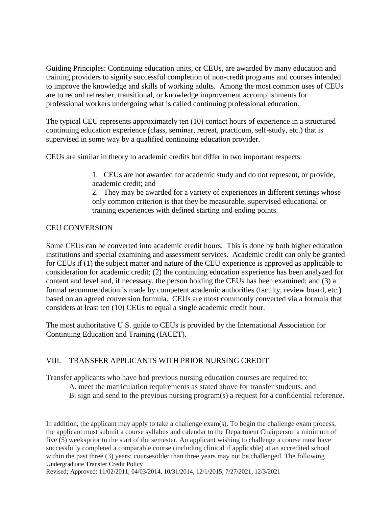Guiding Principles: Continuing education units, or CEUs, are awarded by many education and training providers to signify successful completion of non-credit programs and courses intended to improve the knowledge and skills of working adults. Among the most common uses of CEUs are to record refresher, transitional, or knowledge improvement accomplishments for professional workers undergoing what is called continuing professional education.

The typical CEU represents approximately ten (10) contact hours of experience in a structured continuing education experience (class, seminar, retreat, practicum, self-study, etc.) that is supervised in some way by a qualified continuing education provider.

CEUs are similar in theory to academic credits but differ in two important respects:

1. CEUs are not awarded for academic study and do not represent, or provide, academic credit; and

2. They may be awarded for a variety of experiences in different settings whose only common criterion is that they be measurable, supervised educational or training experiences with defined starting and ending points.

## CEU CONVERSION

Some CEUs can be converted into academic credit hours. This is done by both higher education institutions and special examining and assessment services. Academic credit can only be granted for CEUs if (1) the subject matter and nature of the CEU experience is approved as applicable to consideration for academic credit; (2) the continuing education experience has been analyzed for content and level and, if necessary, the person holding the CEUs has been examined; and (3) a formal recommendation is made by competent academic authorities (faculty, review board, etc.) based on an agreed conversion formula. CEUs are most commonly converted via a formula that considers at least ten (10) CEUs to equal a single academic credit hour.

The most authoritative U.S. guide to CEUs is provided by the International Association for Continuing Education and Training (IACET).

## VIII. TRANSFER APPLICANTS WITH PRIOR NURSING CREDIT

Transfer applicants who have had previous nursing education courses are required to:

- A. meet the matriculation requirements as stated above for transfer students; and
	- B. sign and send to the previous nursing program(s) a request for a confidential reference.

Undergraduate Transfer Credit Policy In addition, the applicant may apply to take a challenge exam(s). To begin the challenge exam process, the applicant must submit a course syllabus and calendar to the Department Chairperson a minimum of five (5) weeksprior to the start of the semester. An applicant wishing to challenge a course must have successfully completed a comparable course (including clinical if applicable) at an accredited school within the past three (3) years; coursesolder than three years may not be challenged. The following

Revised; Approved: 11/02/2011, 04/03/2014, 10/31/2014, 12/1/2015, 7/27/2021, 12/3/2021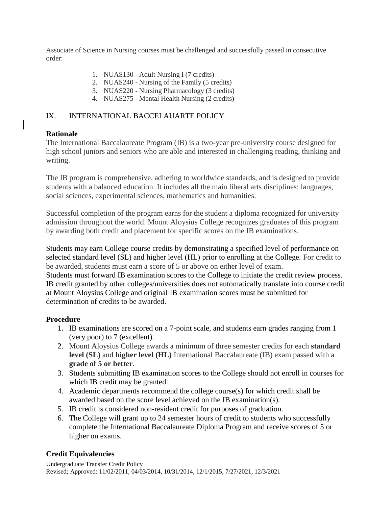Associate of Science in Nursing courses must be challenged and successfully passed in consecutive order:

- 1. NUAS130 Adult Nursing I (7 credits)
- 2. NUAS240 Nursing of the Family (5 credits)
- 3. NUAS220 Nursing Pharmacology (3 credits)
- 4. NUAS275 Mental Health Nursing (2 credits)

## IX. INTERNATIONAL BACCELAUARTE POLICY

## **Rationale**

The International Baccalaureate Program (IB) is a two-year pre-university course designed for high school juniors and seniors who are able and interested in challenging reading, thinking and writing.

The IB program is comprehensive, adhering to worldwide standards, and is designed to provide students with a balanced education. It includes all the main liberal arts disciplines: languages, social sciences, experimental sciences, mathematics and humanities.

Successful completion of the program earns for the student a diploma recognized for university admission throughout the world. Mount Aloysius College recognizes graduates of this program by awarding both credit and placement for specific scores on the IB examinations.

Students may earn College course credits by demonstrating a specified level of performance on selected standard level (SL) and higher level (HL) prior to enrolling at the College. For credit to be awarded, students must earn a score of 5 or above on either level of exam. Students must forward IB examination scores to the College to initiate the credit review process.

IB credit granted by other colleges/universities does not automatically translate into course credit at Mount Aloysius College and original IB examination scores must be submitted for determination of credits to be awarded.

## **Procedure**

- 1. IB examinations are scored on a 7-point scale, and students earn grades ranging from 1 (very poor) to 7 (excellent).
- 2. Mount Aloysius College awards a minimum of three semester credits for each **standard level (SL)** and **higher level (HL)** International Baccalaureate (IB) exam passed with a **grade of 5 or better**.
- 3. Students submitting IB examination scores to the College should not enroll in courses for which IB credit may be granted.
- 4. Academic departments recommend the college course(s) for which credit shall be awarded based on the score level achieved on the IB examination(s).
- 5. IB credit is considered non-resident credit for purposes of graduation.
- 6. The College will grant up to 24 semester hours of credit to students who successfully complete the International Baccalaureate Diploma Program and receive scores of 5 or higher on exams.

## **Credit Equivalencies**

Undergraduate Transfer Credit Policy Revised; Approved: 11/02/2011, 04/03/2014, 10/31/2014, 12/1/2015, 7/27/2021, 12/3/2021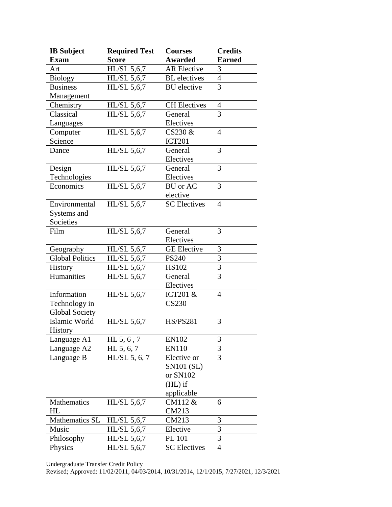| <b>IB</b> Subject      | <b>Required Test</b> | <b>Courses</b>      | <b>Credits</b> |
|------------------------|----------------------|---------------------|----------------|
| <b>Exam</b>            | <b>Score</b>         | <b>Awarded</b>      | <b>Earned</b>  |
| Art                    | HL/SL 5,6,7          | <b>AR Elective</b>  | 3              |
| <b>Biology</b>         | HL/SL 5,6,7          | <b>BL</b> electives | $\overline{4}$ |
| <b>Business</b>        | HL/SL 5,6,7          | <b>BU</b> elective  | 3              |
| Management             |                      |                     |                |
| Chemistry              | HL/SL 5,6,7          | <b>CH</b> Electives | $\overline{4}$ |
| Classical              | HL/SL 5,6,7          | General             | 3              |
| Languages              |                      | Electives           |                |
| Computer               | HL/SL 5,6,7          | $CS230 \&$          | $\overline{4}$ |
| Science                |                      | <b>ICT201</b>       |                |
| Dance                  | HL/SL 5,6,7          | General             | 3              |
|                        |                      | Electives           |                |
| Design                 | HL/SL 5,6,7          | General             | 3              |
| Technologies           |                      | Electives           |                |
| Economics              | HL/SL 5,6,7          | <b>BU</b> or AC     | 3              |
|                        |                      | elective            |                |
| Environmental          | HL/SL 5,6,7          | <b>SC</b> Electives | $\overline{4}$ |
| Systems and            |                      |                     |                |
| Societies              |                      |                     |                |
| Film                   | HL/SL 5,6,7          | General             | 3              |
|                        |                      | Electives           |                |
| Geography              | HL/SL 5,6,7          | <b>GE</b> Elective  | 3              |
| <b>Global Politics</b> | HL/SL 5,6,7          | <b>PS240</b>        | 3              |
| <b>History</b>         | HL/SL 5,6,7          | <b>HS102</b>        | 3              |
| Humanities             | HL/SL 5,6,7          | General             | 3              |
|                        |                      | Electives           |                |
| Information            | HL/SL 5,6,7          | ICT201 &            | $\overline{4}$ |
| Technology in          |                      | <b>CS230</b>        |                |
| <b>Global Society</b>  |                      |                     |                |
| Islamic World          | HL/SL 5,6,7          | <b>HS/PS281</b>     | 3              |
| <b>History</b>         |                      |                     |                |
| Language A1            | HL $5, 6, 7$         | <b>EN102</b>        | 3              |
| Language A2            | HL 5, 6, 7           | <b>EN110</b>        | 3              |
| Language B             | $HL/SL$ 5, 6, 7      | Elective or         | 3              |
|                        |                      | <b>SN101 (SL)</b>   |                |
|                        |                      | or SN102            |                |
|                        |                      | $(HL)$ if           |                |
|                        |                      | applicable          |                |
| Mathematics            | HL/SL 5,6,7          | CM112 &             | 6              |
| HL                     |                      | CM213               |                |
| Mathematics SL         | $HL/SL$ 5,6,7        | CM213               | 3              |
| Music                  | HL/SL 5,6,7          | Elective            | 3              |
| Philosophy             | HL/SL 5,6,7          | PL 101              | 3              |
| Physics                | HL/SL 5,6,7          | <b>SC</b> Electives | $\overline{4}$ |

Undergraduate Transfer Credit Policy

Revised; Approved: 11/02/2011, 04/03/2014, 10/31/2014, 12/1/2015, 7/27/2021, 12/3/2021